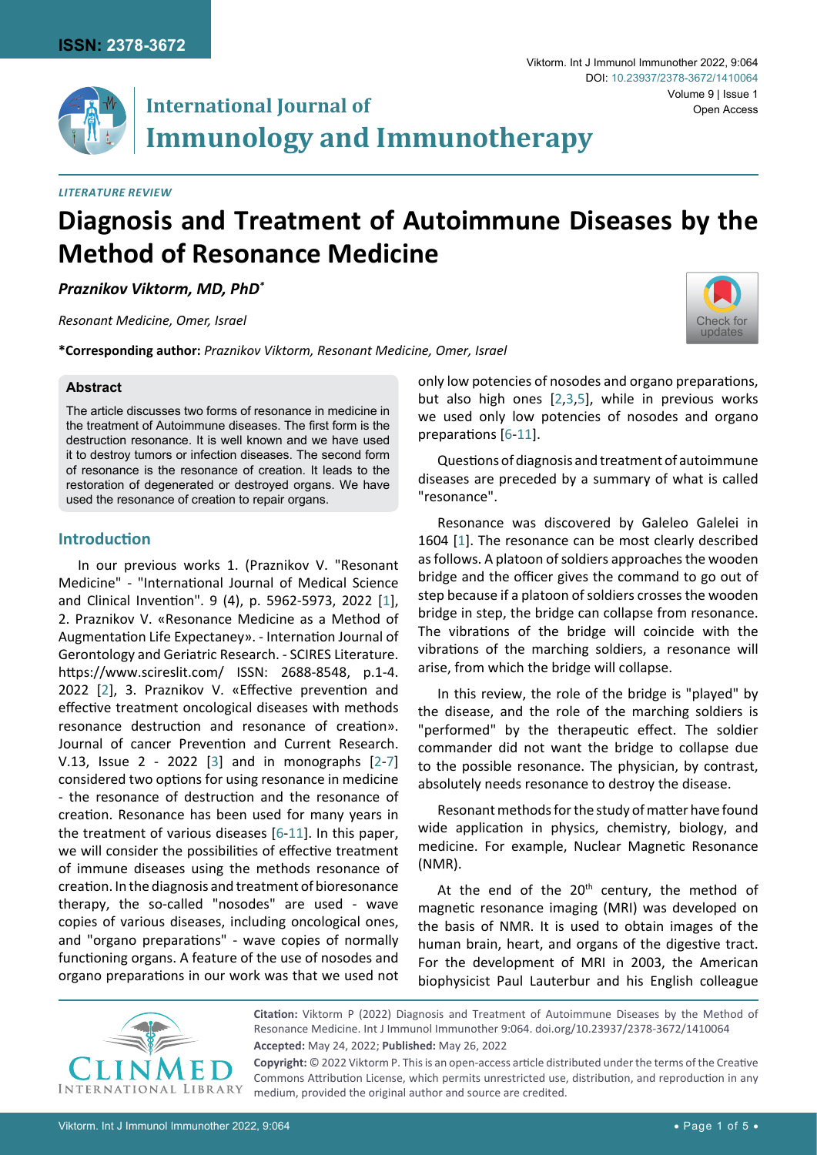

## *Literature Review*

# **Diagnosis and Treatment of Autoimmune Diseases by the Method of Resonance Medicine**

# *Praznikov Viktorm, MD, PhD\**

*Resonant Medicine, Omer, Israel*

**\*Corresponding author:** *Praznikov Viktorm, Resonant Medicine, Omer, Israel*

### **Abstract**

The article discusses two forms of resonance in medicine in the treatment of Autoimmune diseases. The first form is the destruction resonance. It is well known and we have used it to destroy tumors or infection diseases. The second form of resonance is the resonance of creation. It leads to the restoration of degenerated or destroyed organs. We have used the resonance of creation to repair organs.

## **Introduction**

In our previous works 1. (Praznikov V. "Resonant Medicine" - "International Journal of Medical Science and Clinical Invention". 9 (4), p. 5962-5973, 2022 [[1](#page-4-5)], 2. Praznikov V. «Resonance Medicine as a Method of Augmentation Life Expectaney». - Internation Journal of Gerontology and Geriatric Research. - SCIRES Literature. <https://www.scireslit.com/> ISSN: 2688-8548, p.1-4. 2022 [[2](#page-4-0)], 3. Praznikov V. «Effective prevention and effective treatment oncological diseases with methods resonance destruction and resonance of creation». Journal of cancer Prevention and Current Research. V.13, Issue 2 - 2022 [[3](#page-4-1)] and in monographs [[2](#page-4-0)-[7](#page-4-6)] considered two options for using resonance in medicine - the resonance of destruction and the resonance of creation. Resonance has been used for many years in the treatment of various diseases [[6-](#page-4-3)[11](#page-4-4)]. In this paper, we will consider the possibilities of effective treatment of immune diseases using the methods resonance of creation. In the diagnosis and treatment of bioresonance therapy, the so-called "nosodes" are used - wave copies of various diseases, including oncological ones, and "organо preparations" - wave copies of normally functioning organs. A feature of the use of nosodes and organo preparations in our work was that we used not [Check for](http://crossmark.crossref.org/dialog/?doi=/10.23937/2378-3672/1410064&domain=pdf) updates

Volume 9 | Issue 1

only low potencies of nosodes and organо preparations, but also high ones [\[2,](#page-4-0)[3](#page-4-1),[5](#page-4-2)], while in previous works we used only low potencies of nosodes and organo preparations [[6](#page-4-3)-[11\]](#page-4-4).

Viktorm. Int J Immunol Immunother 2022, 9:064

DOI: [10.23937/2378-3672/1410064](https://doi.org/10.23937/2378-3672/1410064)

Questions of diagnosis and treatment of autoimmune diseases are preceded by a summary of what is called "resonance".

Resonance was discovered by Galeleo Galelei in 1604 [[1](#page-4-5)]. The resonance can be most clearly described as follows. A platoon of soldiers approaches the wooden bridge and the officer gives the command to go out of step because if a platoon of soldiers crosses the wooden bridge in step, the bridge can collapse from resonance. The vibrations of the bridge will coincide with the vibrations of the marching soldiers, a resonance will arise, from which the bridge will collapse.

In this review, the role of the bridge is "played" by the disease, and the role of the marching soldiers is "performed" by the therapeutic effect. The soldier commander did not want the bridge to collapse due to the possible resonance. The physician, by contrast, absolutely needs resonance to destroy the disease.

Resonant methods for the study of matter have found wide application in physics, chemistry, biology, and medicine. For example, Nuclear Magnetic Resonance (NMR).

At the end of the  $20<sup>th</sup>$  century, the method of magnetic resonance imaging (MRI) was developed on the basis of NMR. It is used to obtain images of the human brain, heart, and organs of the digestive tract. For the development of MRI in 2003, the American biophysicist Paul Lauterbur and his English colleague



**Citation:** Viktorm P (2022) Diagnosis and Treatment of Autoimmune Diseases by the Method of Resonance Medicine. Int J Immunol Immunother 9:064. [doi.org/10.23937/2378-3672/1410064](https://doi.org/10.23937/2378-3672/1410064) **Accepted:** May 24, 2022; **Published:** May 26, 2022

**Copyright:** © 2022 Viktorm P. This is an open-access article distributed under the terms of the Creative Commons Attribution License, which permits unrestricted use, distribution, and reproduction in any medium, provided the original author and source are credited.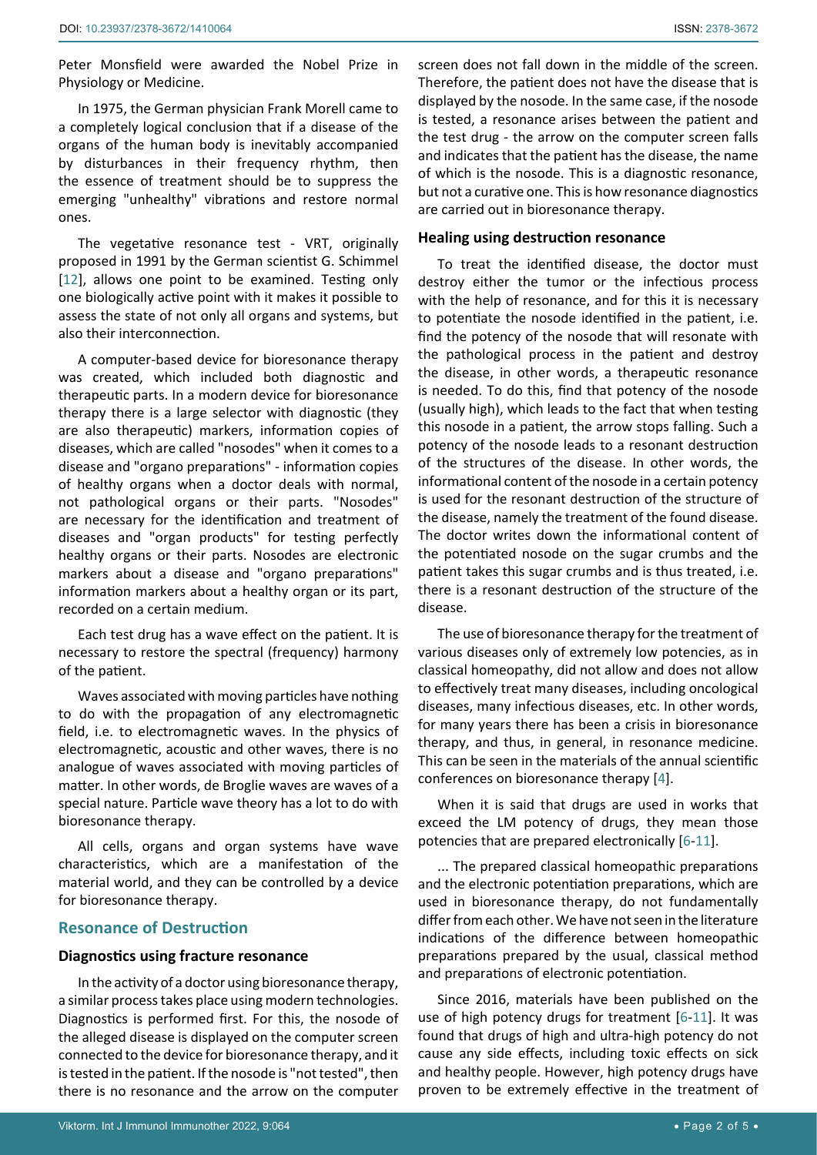Peter Monsfield were awarded the Nobel Prize in Physiology or Medicine.

In 1975, the German physician Frank Morell came to a completely logical conclusion that if a disease of the organs of the human body is inevitably accompanied by disturbances in their frequency rhythm, then the essence of treatment should be to suppress the emerging "unhealthy" vibrations and restore normal ones.

The vegetative resonance test - VRT, originally proposed in 1991 by the German scientist G. Schimmel [[12](#page-4-8)], allows one point to be examined. Testing only one biologically active point with it makes it possible to assess the state of not only all organs and systems, but also their interconnection.

A computer-based device for bioresonance therapy was created, which included both diagnostic and therapeutic parts. In a modern device for bioresonance therapy there is a large selector with diagnostic (they are also therapeutic) markers, information copies of diseases, which are called "nosodes" when it comes to a disease and "organo preparations" - information copies of healthy organs when a doctor deals with normal, not pathological organs or their parts. "Nosodes" are necessary for the identification and treatment of diseases and "organ products" for testing perfectly healthy organs or their parts. Nosodes are electronic markers about a disease and "organo preparations" information markers about a healthy organ or its part, recorded on a certain medium.

Each test drug has a wave effect on the patient. It is necessary to restore the spectral (frequency) harmony of the patient.

Waves associated with moving particles have nothing to do with the propagation of any electromagnetic field, i.e. to electromagnetic waves. In the physics of electromagnetic, acoustic and other waves, there is no analogue of waves associated with moving particles of matter. In other words, de Broglie waves are waves of a special nature. Particle wave theory has a lot to do with bioresonance therapy.

All cells, organs and organ systems have wave characteristics, which are a manifestation of the material world, and they can be controlled by a device for bioresonance therapy.

## **Resonance of Destruction**

## **Diagnostics using fracture resonance**

In the activity of a doctor using bioresonance therapy, a similar process takes place using modern technologies. Diagnostics is performed first. For this, the nosode of the alleged disease is displayed on the computer screen connected to the device for bioresonance therapy, and it is tested in the patient. If the nosode is "not tested", then there is no resonance and the arrow on the computer screen does not fall down in the middle of the screen. Therefore, the patient does not have the disease that is displayed by the nosode. In the same case, if the nosode is tested, a resonance arises between the patient and the test drug - the arrow on the computer screen falls and indicates that the patient has the disease, the name of which is the nosode. This is a diagnostic resonance, but not a curative one. This is how resonance diagnostics are carried out in bioresonance therapy.

### **Healing using destruction resonance**

To treat the identified disease, the doctor must destroy either the tumor or the infectious process with the help of resonance, and for this it is necessary to potentiate the nosode identified in the patient, i.e. find the potency of the nosode that will resonate with the pathological process in the patient and destroy the disease, in other words, a therapeutic resonance is needed. To do this, find that potency of the nosode (usually high), which leads to the fact that when testing this nosode in a patient, the arrow stops falling. Such a potency of the nosode leads to a resonant destruction of the structures of the disease. In other words, the informational content of the nosode in a certain potency is used for the resonant destruction of the structure of the disease, namely the treatment of the found disease. The doctor writes down the informational content of the potentiated nosode on the sugar crumbs and the patient takes this sugar crumbs and is thus treated, i.e. there is a resonant destruction of the structure of the disease.

The use of bioresonance therapy for the treatment of various diseases only of extremely low potencies, as in classical homeopathy, did not allow and does not allow to effectively treat many diseases, including oncological diseases, many infectious diseases, etc. In other words, for many years there has been a crisis in bioresonance therapy, and thus, in general, in resonance medicine. This can be seen in the materials of the annual scientific conferences on bioresonance therapy [\[4](#page-4-7)].

When it is said that drugs are used in works that exceed the LM potency of drugs, they mean those potencies that are prepared electronically [[6](#page-4-3)-[11](#page-4-4)].

... The prepared classical homeopathic preparations and the electronic potentiation preparations, which are used in bioresonance therapy, do not fundamentally differ from each other. We have not seen in the literature indications of the difference between homeopathic preparations prepared by the usual, classical method and preparations of electronic potentiation.

Since 2016, materials have been published on the use of high potency drugs for treatment [[6](#page-4-3)-[11](#page-4-4)]. It was found that drugs of high and ultra-high potency do not cause any side effects, including toxic effects on sick and healthy people. However, high potency drugs have proven to be extremely effective in the treatment of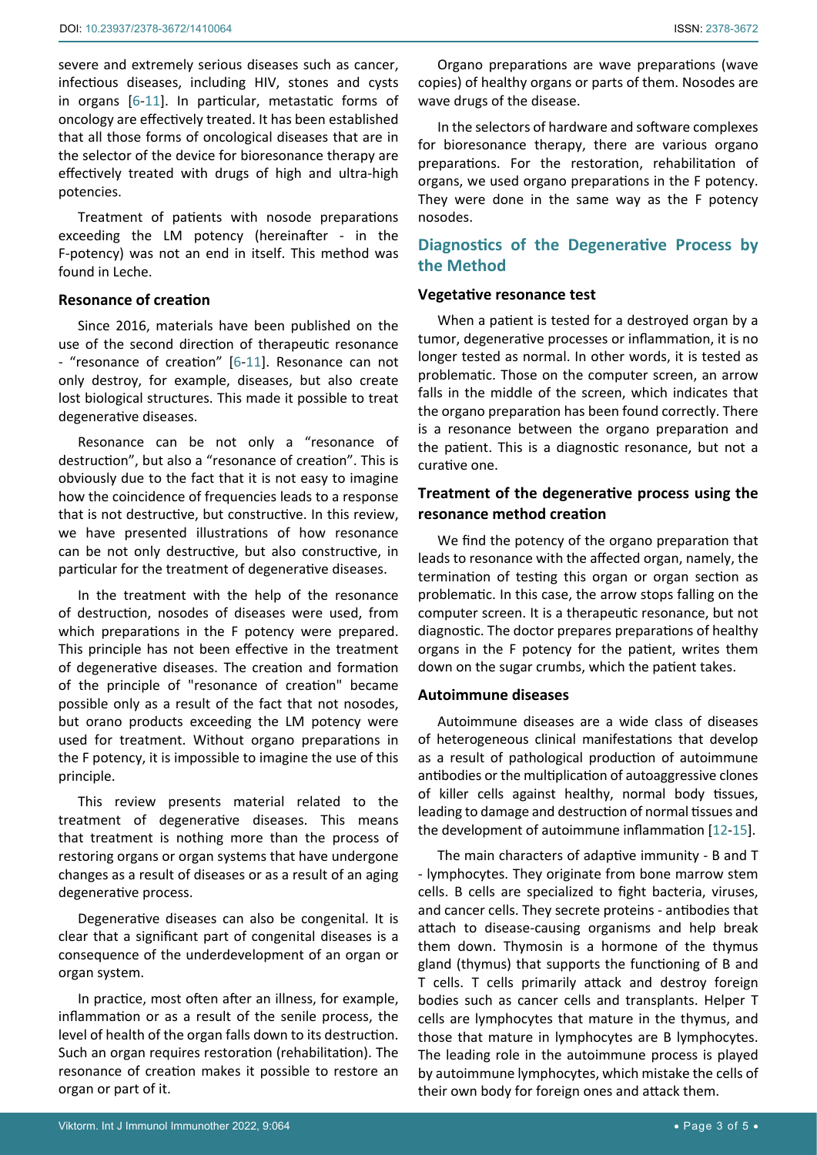severe and extremely serious diseases such as cancer, infectious diseases, including HIV, stones and cysts in organs [[6](#page-4-3)-[11](#page-4-4)]. In particular, metastatic forms of oncology are effectively treated. It has been established that all those forms of oncological diseases that are in the selector of the device for bioresonance therapy are effectively treated with drugs of high and ultra-high potencies.

Treatment of patients with nosode preparations exceeding the LM potency (hereinafter - in the F-potency) was not an end in itself. This method was found in Leche.

## **Resonance of creation**

Since 2016, materials have been published on the use of the second direction of therapeutic resonance - "resonance of creation" [[6](#page-4-3)[-11](#page-4-4)]. Resonance can not only destroy, for example, diseases, but also create lost biological structures. This made it possible to treat degenerative diseases.

Resonance can be not only a "resonance of destruction", but also a "resonance of creation". This is obviously due to the fact that it is not easy to imagine how the coincidence of frequencies leads to a response that is not destructive, but constructive. In this review, we have presented illustrations of how resonance can be not only destructive, but also constructive, in particular for the treatment of degenerative diseases.

In the treatment with the help of the resonance of destruction, nosodes of diseases were used, from which preparations in the F potency were prepared. This principle has not been effective in the treatment of degenerative diseases. The creation and formation of the principle of "resonance of creation" became possible only as a result of the fact that not nosodes, but orano products exceeding the LM potency were used for treatment. Without organo preparations in the F potency, it is impossible to imagine the use of this principle.

This review presents material related to the treatment of degenerative diseases. This means that treatment is nothing more than the process of restoring organs or organ systems that have undergone changes as a result of diseases or as a result of an aging degenerative process.

Degenerative diseases can also be congenital. It is clear that a significant part of congenital diseases is a consequence of the underdevelopment of an organ or organ system.

In practice, most often after an illness, for example, inflammation or as a result of the senile process, the level of health of the organ falls down to its destruction. Such an organ requires restoration (rehabilitation). The resonance of creation makes it possible to restore an organ or part of it.

Organo preparations are wave preparations (wave copies) of healthy organs or parts of them. Nosodes are wave drugs of the disease.

In the selectors of hardware and software complexes for bioresonance therapy, there are various organo preparations. For the restoration, rehabilitation of organs, we used organo preparations in the F potency. They were done in the same way as the F potency nosodes.

# **Diagnostics of the Degenerative Process by the Method**

## **Vegetative resonance test**

When a patient is tested for a destroyed organ by a tumor, degenerative processes or inflammation, it is no longer tested as normal. In other words, it is tested as problematic. Those on the computer screen, an arrow falls in the middle of the screen, which indicates that the organo preparation has been found correctly. There is a resonance between the organo preparation and the patient. This is a diagnostic resonance, but not a curative one.

# **Treatment of the degenerative process using the resonance method creation**

We find the potency of the organo preparation that leads to resonance with the affected organ, namely, the termination of testing this organ or organ section as problematic. In this case, the arrow stops falling on the computer screen. It is a therapeutic resonance, but not diagnostic. The doctor prepares preparations of healthy organs in the F potency for the patient, writes them down on the sugar crumbs, which the patient takes.

## **Autoimmune diseases**

Autoimmune diseases are a wide class of diseases of heterogeneous clinical manifestations that develop as a result of pathological production of autoimmune antibodies or the multiplication of autoaggressive clones of killer cells against healthy, normal body tissues, leading to damage and destruction of normal tissues and the development of autoimmune inflammation [[12](#page-4-8)-[15\]](#page-4-9).

The main characters of adaptive immunity - B and T - lymphocytes. They originate from bone marrow stem cells. B cells are specialized to fight bacteria, viruses, and cancer cells. They secrete proteins - antibodies that attach to disease-causing organisms and help break them down. Thymosin is a hormone of the thymus gland (thymus) that supports the functioning of B and T cells. T cells primarily attack and destroy foreign bodies such as cancer cells and transplants. Helper T cells are lymphocytes that mature in the thymus, and those that mature in lymphocytes are B lymphocytes. The leading role in the autoimmune process is played by autoimmune lymphocytes, which mistake the cells of their own body for foreign ones and attack them.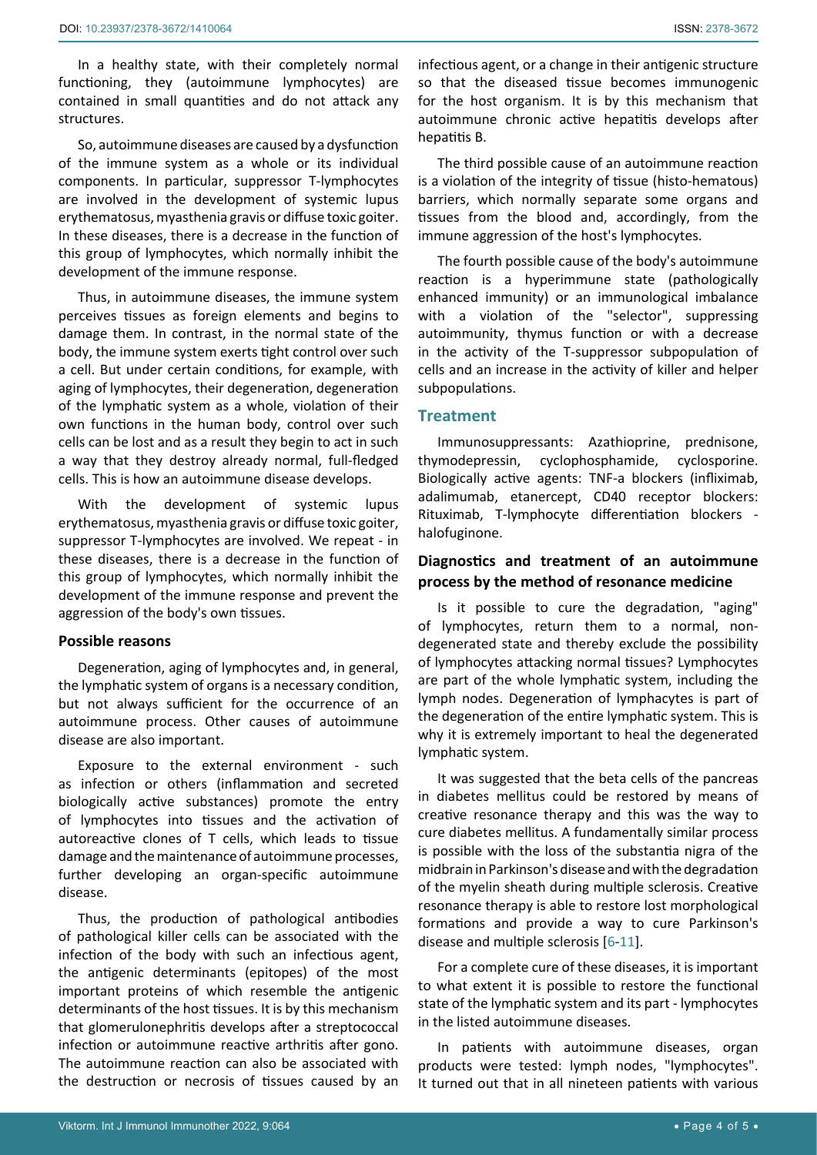In a healthy state, with their completely normal functioning, they (autoimmune lymphocytes) are contained in small quantities and do not attack any structures.

So, autoimmune diseases are caused by a dysfunction of the immune system as a whole or its individual components. In particular, suppressor T-lymphocytes are involved in the development of systemic lupus erythematosus, myasthenia gravis or diffuse toxic goiter. In these diseases, there is a decrease in the function of this group of lymphocytes, which normally inhibit the development of the immune response.

Thus, in autoimmune diseases, the immune system perceives tissues as foreign elements and begins to damage them. In contrast, in the normal state of the body, the immune system exerts tight control over such a cell. But under certain conditions, for example, with aging of lymphocytes, their degeneration, degeneration of the lymphatic system as a whole, violation of their own functions in the human body, control over such cells can be lost and as a result they begin to act in such a way that they destroy already normal, full-fledged cells. This is how an autoimmune disease develops.

With the development of systemic lupus erythematosus, myasthenia gravis or diffuse toxic goiter, suppressor T-lymphocytes are involved. We repeat - in these diseases, there is a decrease in the function of this group of lymphocytes, which normally inhibit the development of the immune response and prevent the aggression of the body's own tissues.

### **Possible reasons**

Degeneration, aging of lymphocytes and, in general, the lymphatic system of organs is a necessary condition, but not always sufficient for the occurrence of an autoimmune process. Other causes of autoimmune disease are also important.

Exposure to the external environment - such as infection or others (inflammation and secreted biologically active substances) promote the entry of lymphocytes into tissues and the activation of autoreactive clones of T cells, which leads to tissue damage and the maintenance of autoimmune processes, further developing an organ-specific autoimmune disease.

Thus, the production of pathological antibodies of pathological killer cells can be associated with the infection of the body with such an infectious agent, the antigenic determinants (epitopes) of the most important proteins of which resemble the antigenic determinants of the host tissues. It is by this mechanism that glomerulonephritis develops after a streptococcal infection or autoimmune reactive arthritis after gono. The autoimmune reaction can also be associated with the destruction or necrosis of tissues caused by an

infectious agent, or a change in their antigenic structure so that the diseased tissue becomes immunogenic for the host organism. It is by this mechanism that autoimmune chronic active hepatitis develops after hepatitis B.

The third possible cause of an autoimmune reaction is a violation of the integrity of tissue (histo-hematous) barriers, which normally separate some organs and tissues from the blood and, accordingly, from the immune aggression of the host's lymphocytes.

The fourth possible cause of the body's autoimmune reaction is a hyperimmune state (pathologically enhanced immunity) or an immunological imbalance with a violation of the "selector", suppressing autoimmunity, thymus function or with a decrease in the activity of the T-suppressor subpopulation of cells and an increase in the activity of killer and helper subpopulations.

# **Treatment**

Immunosuppressants: Azathioprine, prednisone, thymodepressin, cyclophosphamide, cyclosporine. Biologically active agents: TNF-a blockers (infliximab, adalimumab, etanercept, CD40 receptor blockers: Rituximab, T-lymphocyte differentiation blockers halofuginone.

# **Diagnostics and treatment of an autoimmune process by the method of resonance medicine**

Is it possible to cure the degradation, "aging" of lymphocytes, return them to a normal, nondegenerated state and thereby exclude the possibility of lymphocytes attacking normal tissues? Lymphocytes are part of the whole lymphatic system, including the lymph nodes. Degeneration of lymphacytes is part of the degeneration of the entire lymphatic system. This is why it is extremely important to heal the degenerated lymphatic system.

It was suggested that the beta cells of the pancreas in diabetes mellitus could be restored by means of creative resonance therapy and this was the way to cure diabetes mellitus. A fundamentally similar process is possible with the loss of the substantia nigra of the midbrain in Parkinson's disease and with the degradation of the myelin sheath during multiple sclerosis. Creative resonance therapy is able to restore lost morphological formations and provide a way to cure Parkinson's disease and multiple sclerosis [[6](#page-4-3)-[11\]](#page-4-4).

For a complete cure of these diseases, it is important to what extent it is possible to restore the functional state of the lymphatic system and its part - lymphocytes in the listed autoimmune diseases.

In patients with autoimmune diseases, organ products were tested: lymph nodes, "lymphocytes". It turned out that in all nineteen patients with various